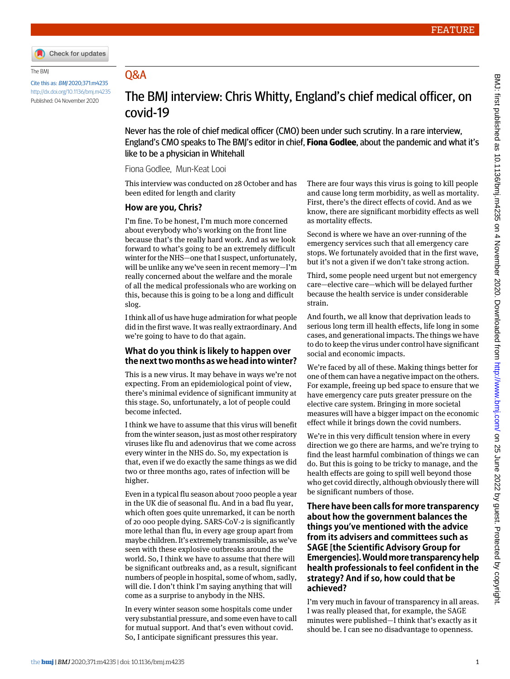

#### The BMJ

Cite this as: BMJ 2020;371:m4235 <http://dx.doi.org/10.1136/bmj.m4235> Published: 04 November 2020

# Q&A

# The BMJ interview: Chris Whitty, England's chief medical officer, on covid-19

Never has the role of chief medical officer (CMO) been under such scrutiny. In a rare interview, England's CMO speaks to The BMJ's editor in chief, **Fiona Godlee**, about the pandemic and what it's like to be a physician in Whitehall

#### Fiona Godlee, Mun-Keat Looi

This interview was conducted on 28 October and has been edited for length and clarity

#### **How are you, Chris?**

I'm fine. To be honest, I'm much more concerned about everybody who's working on the front line because that's the really hard work. And as we look forward to what's going to be an extremely difficult winter for the NHS—one that I suspect, unfortunately, will be unlike any we've seen in recent memory—I'm really concerned about the welfare and the morale of all the medical professionals who are working on this, because this is going to be a long and difficult slog.

I think all of us have huge admiration for what people did in the first wave. It was really extraordinary. And we're going to have to do that again.

#### **What do you think is likely to happen over the next two months as we head into winter?**

This is a new virus. It may behave in ways we're not expecting. From an epidemiological point of view, there's minimal evidence of significant immunity at this stage. So, unfortunately, a lot of people could become infected.

I think we have to assume that this virus will benefit from the winter season, just as most other respiratory viruses like flu and adenovirus that we come across every winter in the NHS do. So, my expectation is that, even if we do exactly the same things as we did two or three months ago, rates of infection will be higher.

Even in a typical flu season about 7000 people a year in the UK die of seasonal flu. And in a bad flu year, which often goes quite unremarked, it can be north of 20 000 people dying. SARS-CoV-2 is significantly more lethal than flu, in every age group apart from maybe children. It's extremely transmissible, as we've seen with these explosive outbreaks around the world. So, I think we have to assume that there will be significant outbreaks and, as a result, significant numbers of people in hospital, some of whom, sadly, will die. I don't think I'm saying anything that will come as a surprise to anybody in the NHS.

In every winter season some hospitals come under very substantial pressure, and some even have to call for mutual support. And that's even without covid. So, I anticipate significant pressures this year.

There are four ways this virus is going to kill people and cause long term morbidity, as well as mortality. First, there's the direct effects of covid. And as we know, there are significant morbidity effects as well as mortality effects.

Second is where we have an over-running of the emergency services such that all emergency care stops. We fortunately avoided that in the first wave, but it's not a given if we don't take strong action.

Third, some people need urgent but not emergency care—elective care—which will be delayed further because the health service is under considerable strain.

And fourth, we all know that deprivation leads to serious long term ill health effects, life long in some cases, and generational impacts. The things we have to do to keep the virus under control have significant social and economic impacts.

We're faced by all of these. Making things better for one of them can have a negative impact on the others. For example, freeing up bed space to ensure that we have emergency care puts greater pressure on the elective care system. Bringing in more societal measures will have a bigger impact on the economic effect while it brings down the covid numbers.

We're in this very difficult tension where in every direction we go there are harms, and we're trying to find the least harmful combination of things we can do. But this is going to be tricky to manage, and the health effects are going to spill well beyond those who get covid directly, although obviously there will be significant numbers of those.

#### **There have been calls for more transparency about how the government balances the things you've mentioned with the advice from its advisers and committees such as SAGE [the Scientific Advisory Group for Emergencies]. Would more transparency help health professionals to feel confident in the strategy? And if so, how could that be achieved?**

I'm very much in favour of transparency in all areas. I was really pleased that, for example, the SAGE minutes were published—I think that's exactly as it should be. I can see no disadvantage to openness.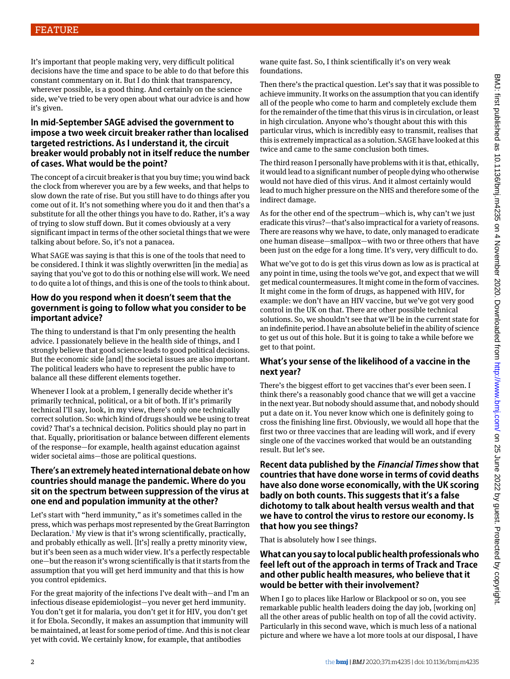It's important that people making very, very difficult political decisions have the time and space to be able to do that before this constant commentary on it. But I do think that transparency, wherever possible, is a good thing. And certainly on the science side, we've tried to be very open about what our advice is and how it's given.

#### **In mid-September SAGE advised the government to impose a two week circuit breaker rather than localised targeted restrictions. As I understand it, the circuit breaker would probably not in itself reduce the number of cases. What would be the point?**

The concept of a circuit breaker is that you buy time; you wind back the clock from wherever you are by a few weeks, and that helps to slow down the rate of rise. But you still have to do things after you come out of it. It's not something where you do it and then that's a substitute for all the other things you have to do. Rather, it's a way of trying to slow stuff down. But it comes obviously at a very significant impact in terms of the other societal things that we were talking about before. So, it's not a panacea.

What SAGE was saying is that this is one of the tools that need to be considered. I think it was slightly overwritten [in the media] as saying that you've got to do this or nothing else will work. We need to do quite a lot of things, and this is one of the tools to think about.

#### **How do you respond when it doesn't seem that the government is going to follow what you consider to be important advice?**

The thing to understand is that I'm only presenting the health advice. I passionately believe in the health side of things, and I strongly believe that good science leads to good political decisions. But the economic side [and] the societal issues are also important. The political leaders who have to represent the public have to balance all these different elements together.

Whenever I look at a problem, I generally decide whether it's primarily technical, political, or a bit of both. If it's primarily technical I'll say, look, in my view, there's only one technically correct solution. So: which kind of drugs should we be using to treat covid? That's a technical decision. Politics should play no part in that. Equally, prioritisation or balance between different elements of the response—for example, health against education against wider societal aims—those are political questions.

#### **There's an extremely heated international debate on how countries should manage the pandemic. Where do you sit on the spectrum between suppression of the virus at one end and population immunity at the other?**

Let's start with "herd immunity," as it's sometimes called in the press, which was perhaps most represented by the Great Barrington Declaration.<sup>[1](#page-3-0)</sup> My view is that it's wrong scientifically, practically, and probably ethically as well. [It's] really a pretty minority view, but it's been seen as a much wider view. It's a perfectly respectable one—but the reason it's wrong scientifically is that it starts from the assumption that you will get herd immunity and that this is how you control epidemics.

For the great majority of the infections I've dealt with—and I'm an infectious disease epidemiologist—you never get herd immunity. You don't get it for malaria, you don't get it for HIV, you don't get it for Ebola. Secondly, it makes an assumption that immunity will be maintained, at least for some period of time. And this is not clear yet with covid. We certainly know, for example, that antibodies

wane quite fast. So, I think scientifically it's on very weak foundations.

Then there's the practical question. Let's say that it was possible to achieve immunity. It works on the assumption that you can identify all of the people who come to harm and completely exclude them for the remainder of the time that this virus is in circulation, or least in high circulation. Anyone who's thought about this with this particular virus, which is incredibly easy to transmit, realises that this is extremely impractical as a solution. SAGE have looked at this twice and came to the same conclusion both times.

The third reason I personally have problems with it is that, ethically, it would lead to a significant number of people dying who otherwise would not have died of this virus. And it almost certainly would lead to much higher pressure on the NHS and therefore some of the indirect damage.

As for the other end of the spectrum—which is, why can't we just eradicate this virus?—that's also impractical for a variety of reasons. There are reasons why we have, to date, only managed to eradicate one human disease—smallpox—with two or three others that have been just on the edge for a long time. It's very, very difficult to do.

What we've got to do is get this virus down as low as is practical at any point in time, using the tools we've got, and expect that we will get medical countermeasures. It might come in the form of vaccines. It might come in the form of drugs, as happened with HIV, for example: we don't have an HIV vaccine, but we've got very good control in the UK on that. There are other possible technical solutions. So, we shouldn't see that we'll be in the current state for an indefinite period. I have an absolute belief in the ability of science to get us out of this hole. But it is going to take a while before we get to that point.

### **What's your sense of the likelihood of a vaccine in the next year?**

There's the biggest effort to get vaccines that's ever been seen. I think there's a reasonably good chance that we will get a vaccine in the next year. But nobody should assume that, and nobody should put a date on it. You never know which one is definitely going to cross the finishing line first. Obviously, we would all hope that the first two or three vaccines that are leading will work, and if every single one of the vaccines worked that would be an outstanding result. But let's see.

**Recent data published by the Financial Times show that countries that have done worse in terms of covid deaths have also done worse economically, with the UK scoring badly on both counts. This suggests that it's a false dichotomy to talk about health versus wealth and that we have to control the virus to restore our economy. Is that how you see things?**

That is absolutely how I see things.

#### **What can you say to local public health professionals who feel left out of the approach in terms of Track and Trace and other public health measures, who believe that it would be better with their involvement?**

When I go to places like Harlow or Blackpool or so on, you see remarkable public health leaders doing the day job, [working on] all the other areas of public health on top of all the covid activity. Particularly in this second wave, which is much less of a national picture and where we have a lot more tools at our disposal, I have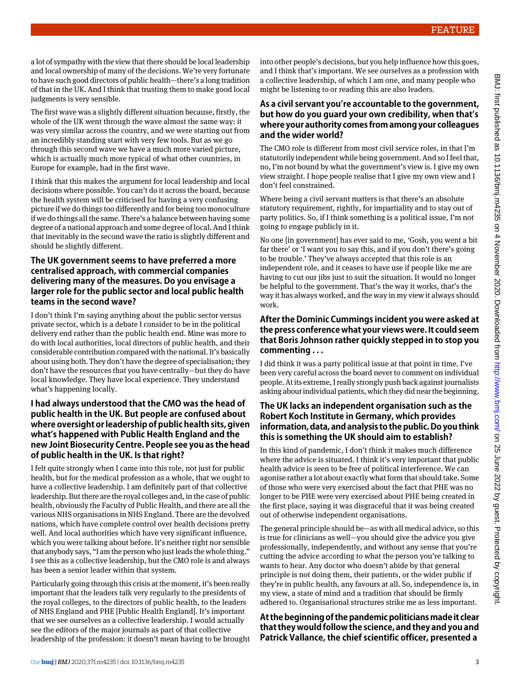a lot of sympathy with the view that there should be local leadership and local ownership of many of the decisions. We're very fortunate to have such good directors of public health—there's a long tradition of that in the UK. And I think that trusting them to make good local judgments is very sensible.

The first wave was a slightly different situation because, firstly, the whole of the UK went through the wave almost the same way: it was very similar across the country, and we were starting out from an incredibly standing start with very few tools. But as we go through this second wave we have a much more varied picture, which is actually much more typical of what other countries, in Europe for example, had in the first wave.

I think that this makes the argument for local leadership and local decisions where possible. You can't do it across the board, because the health system will be criticised for having a very confusing picture if we do things too differently and for being too monoculture if we do things all the same. There's a balance between having some degree of a national approach and some degree of local. And I think that inevitably in the second wave the ratio is slightly different and should be slightly different.

#### **The UK government seems to have preferred a more centralised approach, with commercial companies delivering many of the measures. Do you envisage a larger role for the public sector and local public health teams in the second wave?**

I don't think I'm saying anything about the public sector versus private sector, which is a debate I consider to be in the political delivery end rather than the public health end. Mine was more to do with local authorities, local directors of public health, and their considerable contribution compared with the national. It's basically about using both. They don't have the degree of specialisation; they don't have the resources that you have centrally—but they do have local knowledge. They have local experience. They understand what's happening locally.

#### **I had always understood that the CMO was the head of public health in the UK. But people are confused about where oversight or leadership of public health sits, given what's happened with Public Health England and the new Joint Biosecurity Centre. People see you as the head of public health in the UK. Is that right?**

I felt quite strongly when I came into this role, not just for public health, but for the medical profession as a whole, that we ought to have a collective leadership. I am definitely part of that collective leadership. But there are the royal colleges and, in the case of public health, obviously the Faculty of Public Health, and there are all the various NHS organisations in NHS England. There are the devolved nations, which have complete control over health decisions pretty well. And local authorities which have very significant influence, which you were talking about before. It's neither right nor sensible that anybody says, "I am the person who just leads the whole thing." I see this as a collective leadership, but the CMO role is and always has been a senior leader within that system.

Particularly going through this crisis at the moment, it's been really important that the leaders talk very regularly to the presidents of the royal colleges, to the directors of public health, to the leaders of NHS England and PHE [Public Health England]. It's important that we see ourselves as a collective leadership. I would actually see the editors of the major journals as part of that collective leadership of the profession: it doesn't mean having to be brought into other people's decisions, but you help influence how this goes, and I think that's important. We see ourselves as a profession with a collective leadership, of which I am one, and many people who might be listening to or reading this are also leaders.

#### **As a civil servant you're accountable to the government, but how do you guard your own credibility, when that's where your authority comes from among your colleagues and the wider world?**

The CMO role is different from most civil service roles, in that I'm statutorily independent while being government. And so I feel that, no, I'm not bound by what the government's view is. I give my own view straight. I hope people realise that I give my own view and I don't feel constrained.

Where being a civil servant matters is that there's an absolute statutory requirement, rightly, for impartiality and to stay out of party politics. So, if I think something is a political issue, I'm not going to engage publicly in it.

No one [in government] has ever said to me, 'Gosh, you went a bit far there' or 'I want you to say this, and if you don't there's going to be trouble.' They've always accepted that this role is an independent role, and it ceases to have use if people like me are having to cut our jibs just to suit the situation. It would no longer be helpful to the government. That's the way it works, that's the way it has always worked, and the way in my view it always should work.

### **After the Dominic Cummings incident you were asked at the press conference what your views were. It could seem that Boris Johnson rather quickly stepped in to stop you commenting . . .**

I did think it was a party political issue at that point in time. I've been very careful across the board never to comment on individual people. At its extreme, I really strongly push back against journalists asking about individual patients, which they did near the beginning.

### **The UK lacks an independent organisation such as the Robert Koch Institute in Germany, which provides information, data, and analysis to the public. Do you think this is something the UK should aim to establish?**

In this kind of pandemic, I don't think it makes much difference where the advice is situated. I think it's very important that public health advice is seen to be free of political interference. We can agonise rather a lot about exactly what form that should take. Some of those who were very exercised about the fact that PHE was no longer to be PHE were very exercised about PHE being created in the first place, saying it was disgraceful that it was being created out of otherwise independent organisations.

The general principle should be—as with all medical advice, so this is true for clinicians as well—you should give the advice you give professionally, independently, and without any sense that you're cutting the advice according to what the person you're talking to wants to hear. Any doctor who doesn't abide by that general principle is not doing them, their patients, or the wider public if they're in public health, any favours at all. So, independence is, in my view, a state of mind and a tradition that should be firmly adhered to. Organisational structures strike me as less important.

## **At the beginning of the pandemic politicians made it clear that they would follow the science, and they and you and Patrick Vallance, the chief scientific officer, presented a**